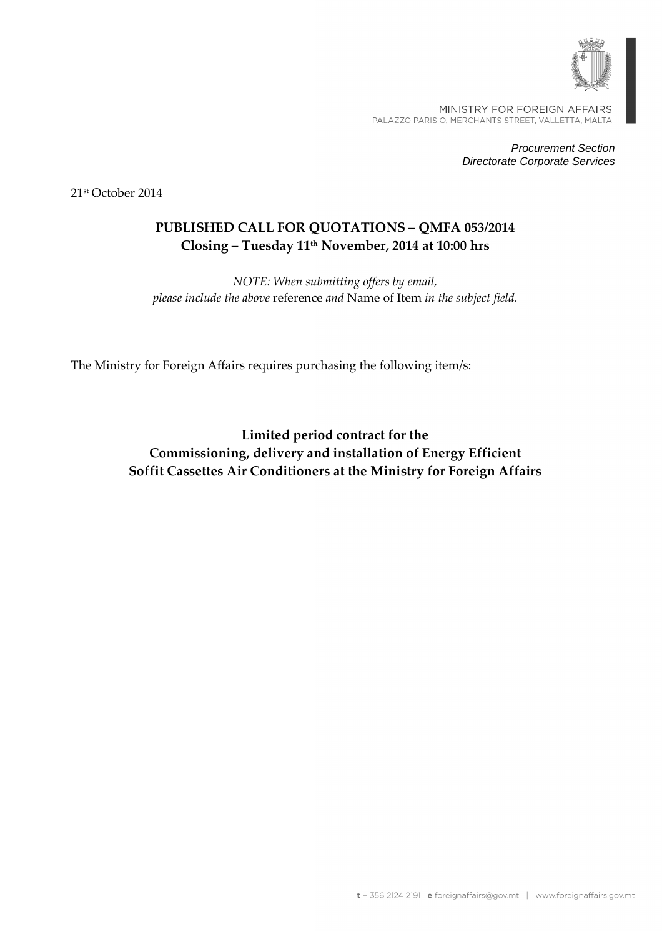

MINISTRY FOR FOREIGN AFFAIRS PALAZZO PARISIO, MERCHANTS STREET, VALLETTA, MALTA

> Procurement Section Directorate Corporate Services

21st October 2014

# **PUBLISHED CALL FOR QUOTATIONS – QMFA 053/2014 Closing – Tuesday 11th November, 2014 at 10:00 hrs**

*NOTE: When submitting offers by email, please include the above* reference *and* Name of Item *in the subject field.* 

The Ministry for Foreign Affairs requires purchasing the following item/s:

**Limited period contract for the Commissioning, delivery and installation of Energy Efficient Soffit Cassettes Air Conditioners at the Ministry for Foreign Affairs**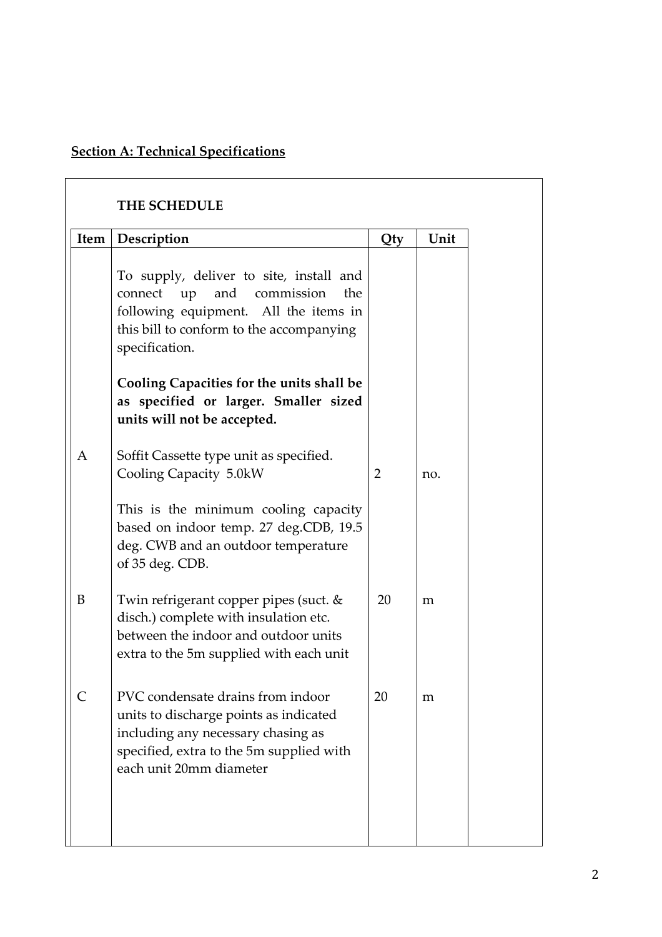# **Section A: Technical Specifications**

| <b>THE SCHEDULE</b> |                                                                                                                                                                                             |                |      |  |
|---------------------|---------------------------------------------------------------------------------------------------------------------------------------------------------------------------------------------|----------------|------|--|
|                     | Item   Description                                                                                                                                                                          | Qty            | Unit |  |
|                     | To supply, deliver to site, install and<br>connect<br>up<br>and<br>commission<br>the<br>following equipment. All the items in<br>this bill to conform to the accompanying<br>specification. |                |      |  |
|                     | Cooling Capacities for the units shall be<br>as specified or larger. Smaller sized<br>units will not be accepted.                                                                           |                |      |  |
| A                   | Soffit Cassette type unit as specified.<br>Cooling Capacity 5.0kW                                                                                                                           | $\overline{2}$ | no.  |  |
|                     | This is the minimum cooling capacity<br>based on indoor temp. 27 deg.CDB, 19.5<br>deg. CWB and an outdoor temperature<br>of 35 deg. CDB.                                                    |                |      |  |
| B                   | Twin refrigerant copper pipes (suct. &<br>disch.) complete with insulation etc.<br>between the indoor and outdoor units<br>extra to the 5m supplied with each unit                          | 20             | m    |  |
|                     | PVC condensate drains from indoor<br>units to discharge points as indicated<br>including any necessary chasing as<br>specified, extra to the 5m supplied with<br>each unit 20mm diameter    | 20             | m    |  |
|                     |                                                                                                                                                                                             |                |      |  |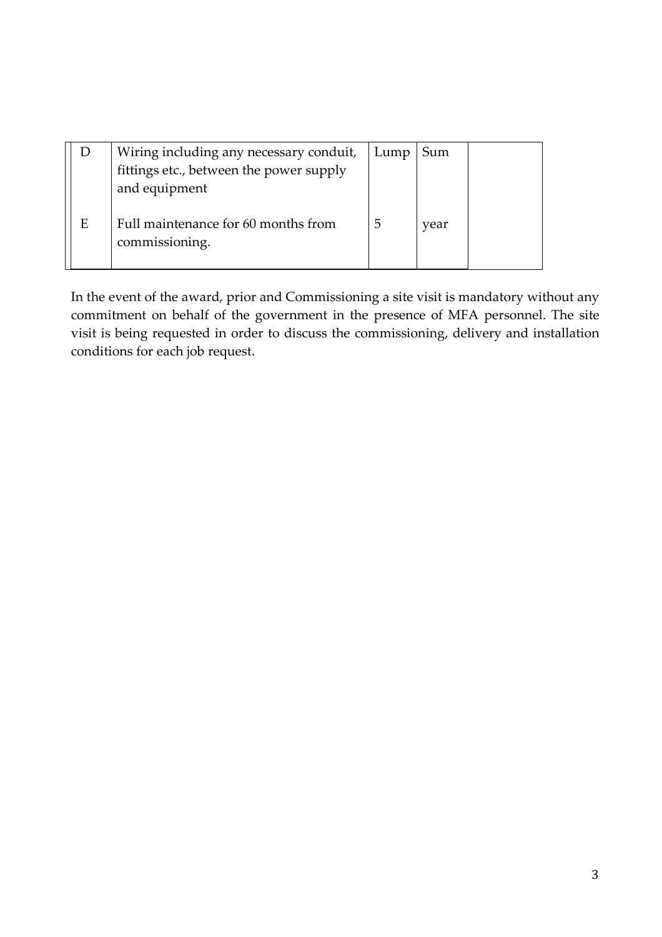|   | Wiring including any necessary conduit, | Lump | Sum  |  |
|---|-----------------------------------------|------|------|--|
|   | fittings etc., between the power supply |      |      |  |
|   | and equipment                           |      |      |  |
|   |                                         |      |      |  |
| E | Full maintenance for 60 months from     |      | year |  |
|   | commissioning.                          |      |      |  |
|   |                                         |      |      |  |

In the event of the award, prior and Commissioning a site visit is mandatory without any commitment on behalf of the government in the presence of MFA personnel. The site visit is being requested in order to discuss the commissioning, delivery and installation conditions for each job request.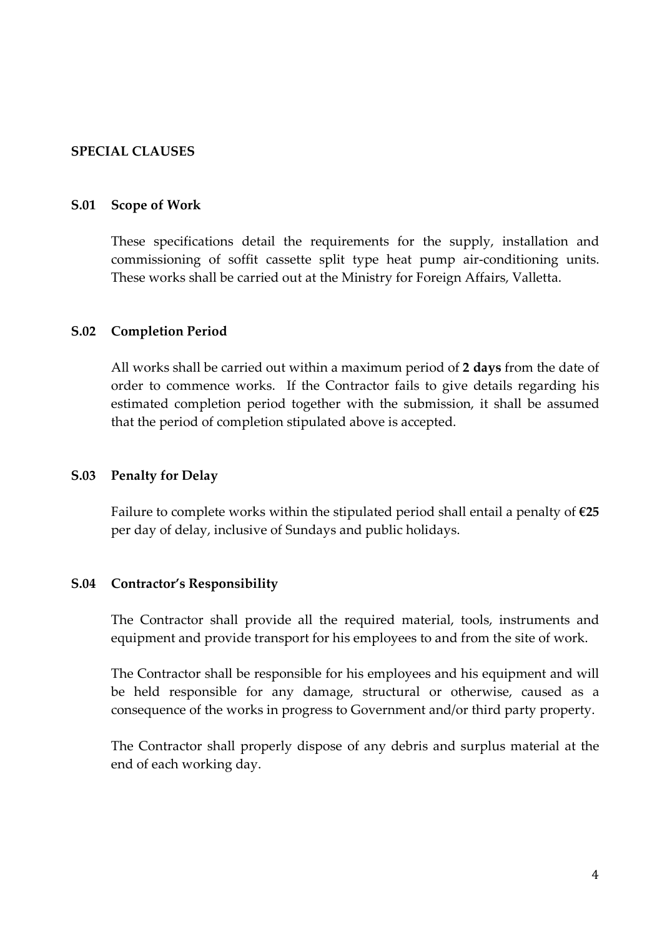## **SPECIAL CLAUSES**

#### **S.01 Scope of Work**

 These specifications detail the requirements for the supply, installation and commissioning of soffit cassette split type heat pump air-conditioning units. These works shall be carried out at the Ministry for Foreign Affairs, Valletta.

#### **S.02 Completion Period**

 All works shall be carried out within a maximum period of **2 days** from the date of order to commence works. If the Contractor fails to give details regarding his estimated completion period together with the submission, it shall be assumed that the period of completion stipulated above is accepted.

#### **S.03 Penalty for Delay**

 Failure to complete works within the stipulated period shall entail a penalty of **€25**  per day of delay, inclusive of Sundays and public holidays.

#### **S.04 Contractor's Responsibility**

The Contractor shall provide all the required material, tools, instruments and equipment and provide transport for his employees to and from the site of work.

The Contractor shall be responsible for his employees and his equipment and will be held responsible for any damage, structural or otherwise, caused as a consequence of the works in progress to Government and/or third party property.

The Contractor shall properly dispose of any debris and surplus material at the end of each working day.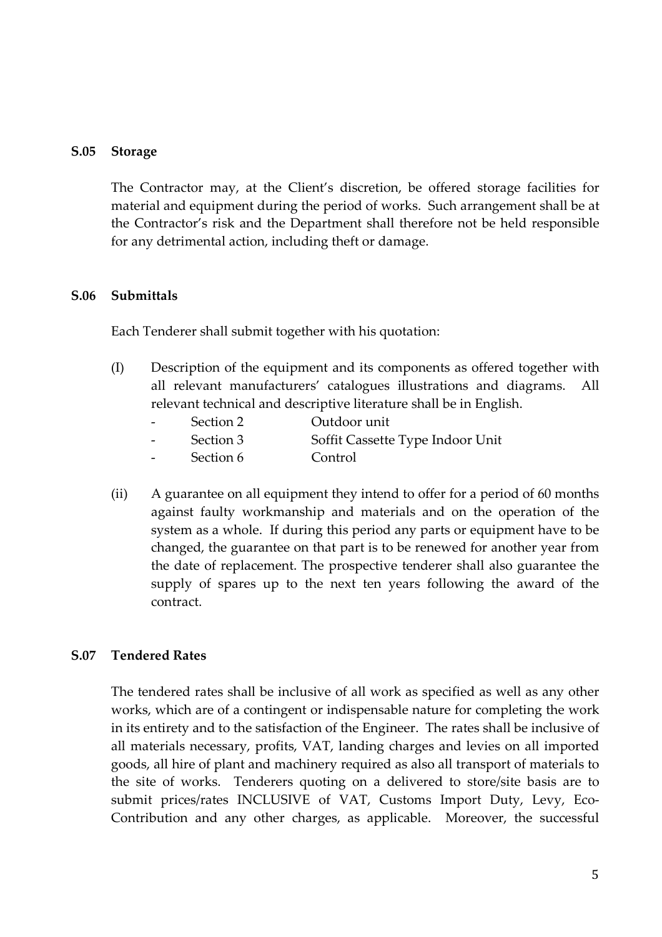#### **S.05 Storage**

 The Contractor may, at the Client's discretion, be offered storage facilities for material and equipment during the period of works. Such arrangement shall be at the Contractor's risk and the Department shall therefore not be held responsible for any detrimental action, including theft or damage.

#### **S.06 Submittals**

Each Tenderer shall submit together with his quotation:

(I) Description of the equipment and its components as offered together with all relevant manufacturers' catalogues illustrations and diagrams. All relevant technical and descriptive literature shall be in English.

| Outdoor unit<br>Section 2 |  |
|---------------------------|--|
|---------------------------|--|

- Section 3 Soffit Cassette Type Indoor Unit
- Section 6 Control
- (ii) A guarantee on all equipment they intend to offer for a period of 60 months against faulty workmanship and materials and on the operation of the system as a whole. If during this period any parts or equipment have to be changed, the guarantee on that part is to be renewed for another year from the date of replacement. The prospective tenderer shall also guarantee the supply of spares up to the next ten years following the award of the contract.

#### **S.07 Tendered Rates**

 The tendered rates shall be inclusive of all work as specified as well as any other works, which are of a contingent or indispensable nature for completing the work in its entirety and to the satisfaction of the Engineer. The rates shall be inclusive of all materials necessary, profits, VAT, landing charges and levies on all imported goods, all hire of plant and machinery required as also all transport of materials to the site of works. Tenderers quoting on a delivered to store/site basis are to submit prices/rates INCLUSIVE of VAT, Customs Import Duty, Levy, Eco-Contribution and any other charges, as applicable. Moreover, the successful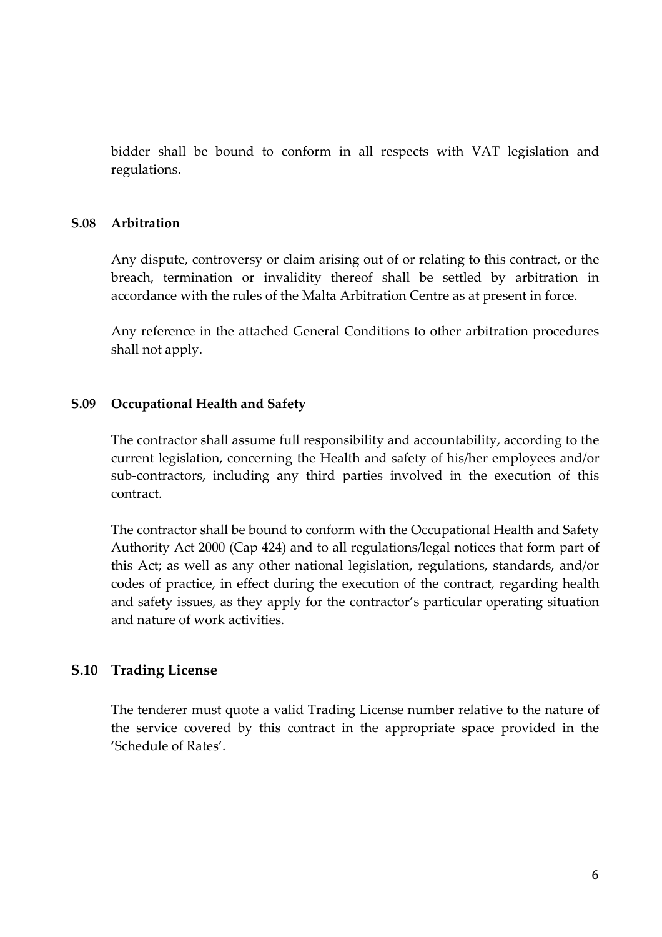bidder shall be bound to conform in all respects with VAT legislation and regulations.

#### **S.08 Arbitration**

Any dispute, controversy or claim arising out of or relating to this contract, or the breach, termination or invalidity thereof shall be settled by arbitration in accordance with the rules of the Malta Arbitration Centre as at present in force.

 Any reference in the attached General Conditions to other arbitration procedures shall not apply.

#### **S.09 Occupational Health and Safety**

 The contractor shall assume full responsibility and accountability, according to the current legislation, concerning the Health and safety of his/her employees and/or sub-contractors, including any third parties involved in the execution of this contract.

The contractor shall be bound to conform with the Occupational Health and Safety Authority Act 2000 (Cap 424) and to all regulations/legal notices that form part of this Act; as well as any other national legislation, regulations, standards, and/or codes of practice, in effect during the execution of the contract, regarding health and safety issues, as they apply for the contractor's particular operating situation and nature of work activities.

## **S.10 Trading License**

The tenderer must quote a valid Trading License number relative to the nature of the service covered by this contract in the appropriate space provided in the 'Schedule of Rates'.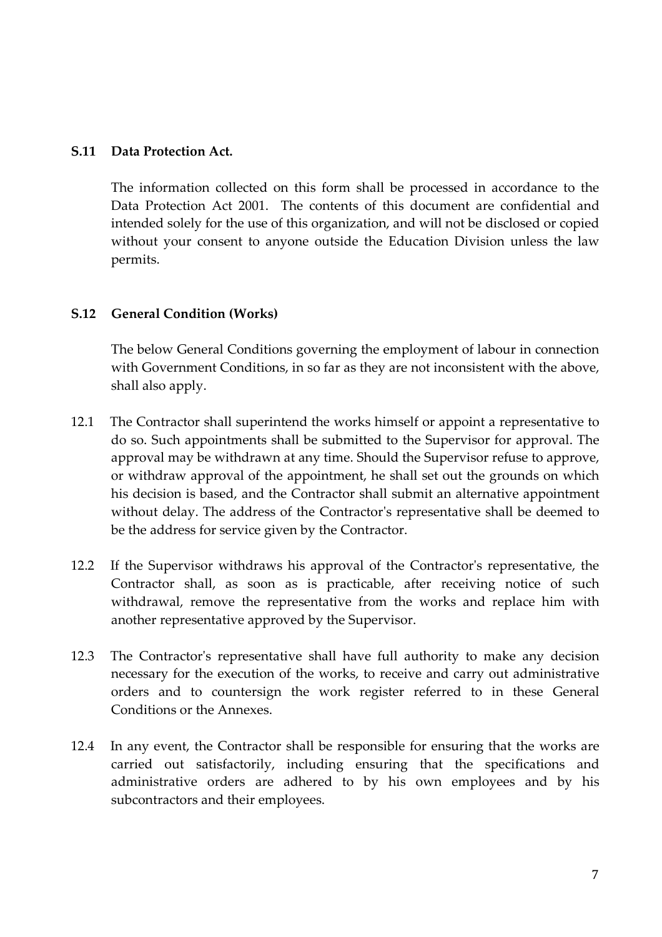#### **S.11 Data Protection Act.**

 The information collected on this form shall be processed in accordance to the Data Protection Act 2001. The contents of this document are confidential and intended solely for the use of this organization, and will not be disclosed or copied without your consent to anyone outside the Education Division unless the law permits.

## **S.12 General Condition (Works)**

 The below General Conditions governing the employment of labour in connection with Government Conditions, in so far as they are not inconsistent with the above, shall also apply.

- 12.1 The Contractor shall superintend the works himself or appoint a representative to do so. Such appointments shall be submitted to the Supervisor for approval. The approval may be withdrawn at any time. Should the Supervisor refuse to approve, or withdraw approval of the appointment, he shall set out the grounds on which his decision is based, and the Contractor shall submit an alternative appointment without delay. The address of the Contractor's representative shall be deemed to be the address for service given by the Contractor.
- 12.2 If the Supervisor withdraws his approval of the Contractor's representative, the Contractor shall, as soon as is practicable, after receiving notice of such withdrawal, remove the representative from the works and replace him with another representative approved by the Supervisor.
- 12.3 The Contractor's representative shall have full authority to make any decision necessary for the execution of the works, to receive and carry out administrative orders and to countersign the work register referred to in these General Conditions or the Annexes.
- 12.4 In any event, the Contractor shall be responsible for ensuring that the works are carried out satisfactorily, including ensuring that the specifications and administrative orders are adhered to by his own employees and by his subcontractors and their employees.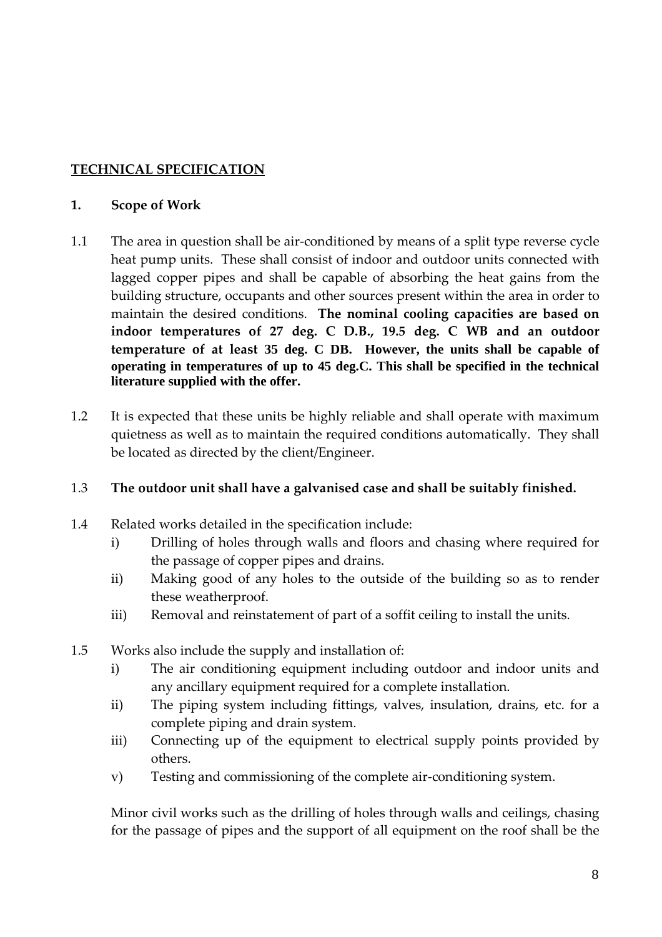# **TECHNICAL SPECIFICATION**

## **1. Scope of Work**

- 1.1 The area in question shall be air-conditioned by means of a split type reverse cycle heat pump units. These shall consist of indoor and outdoor units connected with lagged copper pipes and shall be capable of absorbing the heat gains from the building structure, occupants and other sources present within the area in order to maintain the desired conditions. **The nominal cooling capacities are based on indoor temperatures of 27 deg. C D.B., 19.5 deg. C WB and an outdoor temperature of at least 35 deg. C DB. However, the units shall be capable of operating in temperatures of up to 45 deg.C. This shall be specified in the technical literature supplied with the offer.**
- 1.2 It is expected that these units be highly reliable and shall operate with maximum quietness as well as to maintain the required conditions automatically. They shall be located as directed by the client/Engineer.

## 1.3 **The outdoor unit shall have a galvanised case and shall be suitably finished.**

- 1.4 Related works detailed in the specification include:
	- i) Drilling of holes through walls and floors and chasing where required for the passage of copper pipes and drains.
	- ii) Making good of any holes to the outside of the building so as to render these weatherproof.
	- iii) Removal and reinstatement of part of a soffit ceiling to install the units.
- 1.5 Works also include the supply and installation of:
	- i) The air conditioning equipment including outdoor and indoor units and any ancillary equipment required for a complete installation.
	- ii) The piping system including fittings, valves, insulation, drains, etc. for a complete piping and drain system.
	- iii) Connecting up of the equipment to electrical supply points provided by others.
	- v) Testing and commissioning of the complete air-conditioning system.

 Minor civil works such as the drilling of holes through walls and ceilings, chasing for the passage of pipes and the support of all equipment on the roof shall be the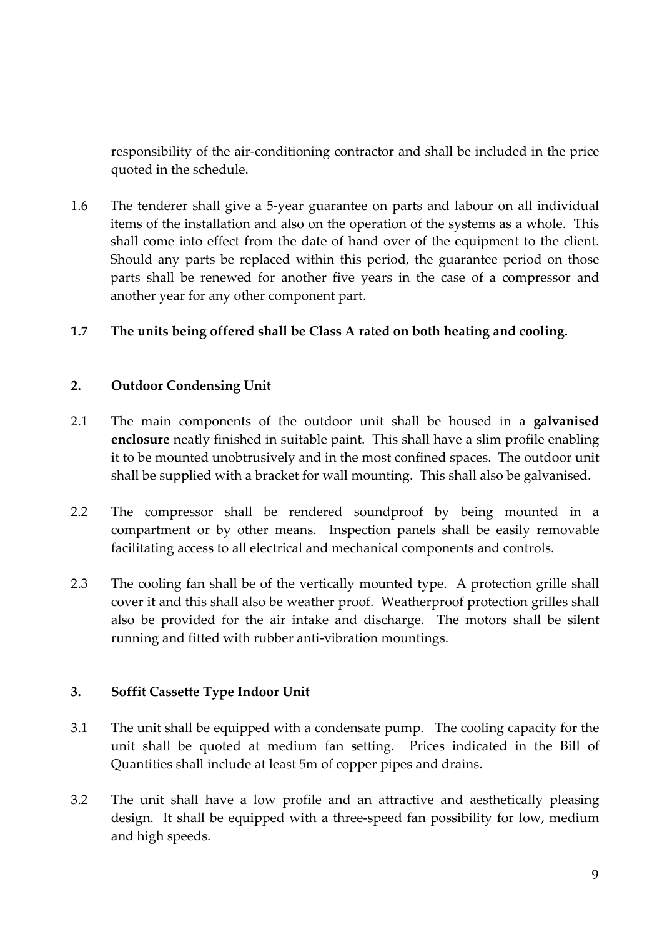responsibility of the air-conditioning contractor and shall be included in the price quoted in the schedule.

1.6 The tenderer shall give a 5-year guarantee on parts and labour on all individual items of the installation and also on the operation of the systems as a whole. This shall come into effect from the date of hand over of the equipment to the client. Should any parts be replaced within this period, the guarantee period on those parts shall be renewed for another five years in the case of a compressor and another year for any other component part.

## **1.7 The units being offered shall be Class A rated on both heating and cooling.**

## **2. Outdoor Condensing Unit**

- 2.1 The main components of the outdoor unit shall be housed in a **galvanised enclosure** neatly finished in suitable paint. This shall have a slim profile enabling it to be mounted unobtrusively and in the most confined spaces. The outdoor unit shall be supplied with a bracket for wall mounting. This shall also be galvanised.
- 2.2 The compressor shall be rendered soundproof by being mounted in a compartment or by other means. Inspection panels shall be easily removable facilitating access to all electrical and mechanical components and controls.
- 2.3 The cooling fan shall be of the vertically mounted type. A protection grille shall cover it and this shall also be weather proof. Weatherproof protection grilles shall also be provided for the air intake and discharge. The motors shall be silent running and fitted with rubber anti-vibration mountings.

## **3. Soffit Cassette Type Indoor Unit**

- 3.1 The unit shall be equipped with a condensate pump. The cooling capacity for the unit shall be quoted at medium fan setting. Prices indicated in the Bill of Quantities shall include at least 5m of copper pipes and drains.
- 3.2 The unit shall have a low profile and an attractive and aesthetically pleasing design. It shall be equipped with a three-speed fan possibility for low, medium and high speeds.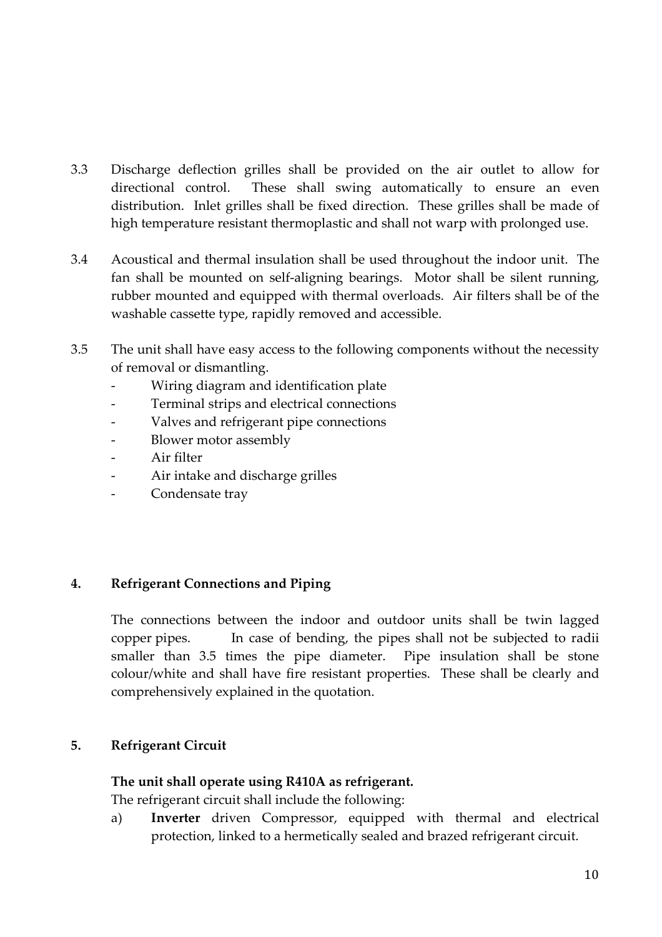- 3.3 Discharge deflection grilles shall be provided on the air outlet to allow for directional control. These shall swing automatically to ensure an even distribution. Inlet grilles shall be fixed direction. These grilles shall be made of high temperature resistant thermoplastic and shall not warp with prolonged use.
- 3.4 Acoustical and thermal insulation shall be used throughout the indoor unit. The fan shall be mounted on self-aligning bearings. Motor shall be silent running, rubber mounted and equipped with thermal overloads. Air filters shall be of the washable cassette type, rapidly removed and accessible.
- 3.5 The unit shall have easy access to the following components without the necessity of removal or dismantling.
	- Wiring diagram and identification plate
	- Terminal strips and electrical connections
	- Valves and refrigerant pipe connections
	- Blower motor assembly
	- Air filter
	- Air intake and discharge grilles
	- Condensate tray

# **4. Refrigerant Connections and Piping**

 The connections between the indoor and outdoor units shall be twin lagged copper pipes. In case of bending, the pipes shall not be subjected to radii smaller than 3.5 times the pipe diameter. Pipe insulation shall be stone colour/white and shall have fire resistant properties. These shall be clearly and comprehensively explained in the quotation.

## **5. Refrigerant Circuit**

## **The unit shall operate using R410A as refrigerant.**

The refrigerant circuit shall include the following:

a) **Inverter** driven Compressor, equipped with thermal and electrical protection, linked to a hermetically sealed and brazed refrigerant circuit.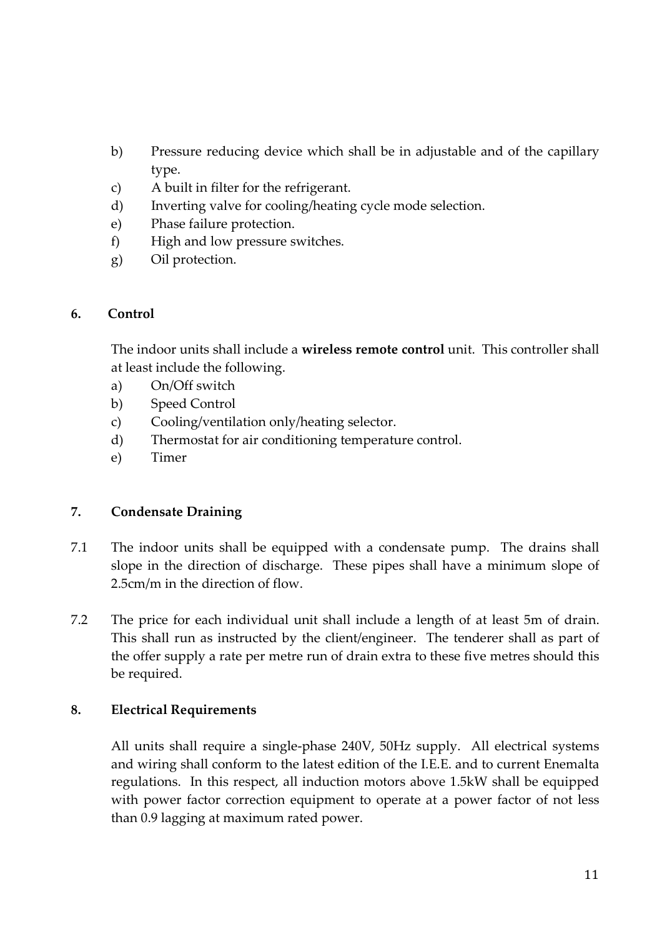- b) Pressure reducing device which shall be in adjustable and of the capillary type.
- c) A built in filter for the refrigerant.
- d) Inverting valve for cooling/heating cycle mode selection.
- e) Phase failure protection.
- f) High and low pressure switches.
- g) Oil protection.

## **6. Control**

 The indoor units shall include a **wireless remote control** unit. This controller shall at least include the following.

- a) On/Off switch
- b) Speed Control
- c) Cooling/ventilation only/heating selector.
- d) Thermostat for air conditioning temperature control.
- e) Timer

## **7. Condensate Draining**

- 7.1 The indoor units shall be equipped with a condensate pump. The drains shall slope in the direction of discharge. These pipes shall have a minimum slope of 2.5cm/m in the direction of flow.
- 7.2 The price for each individual unit shall include a length of at least 5m of drain. This shall run as instructed by the client/engineer. The tenderer shall as part of the offer supply a rate per metre run of drain extra to these five metres should this be required.

## **8. Electrical Requirements**

 All units shall require a single-phase 240V, 50Hz supply. All electrical systems and wiring shall conform to the latest edition of the I.E.E. and to current Enemalta regulations. In this respect, all induction motors above 1.5kW shall be equipped with power factor correction equipment to operate at a power factor of not less than 0.9 lagging at maximum rated power.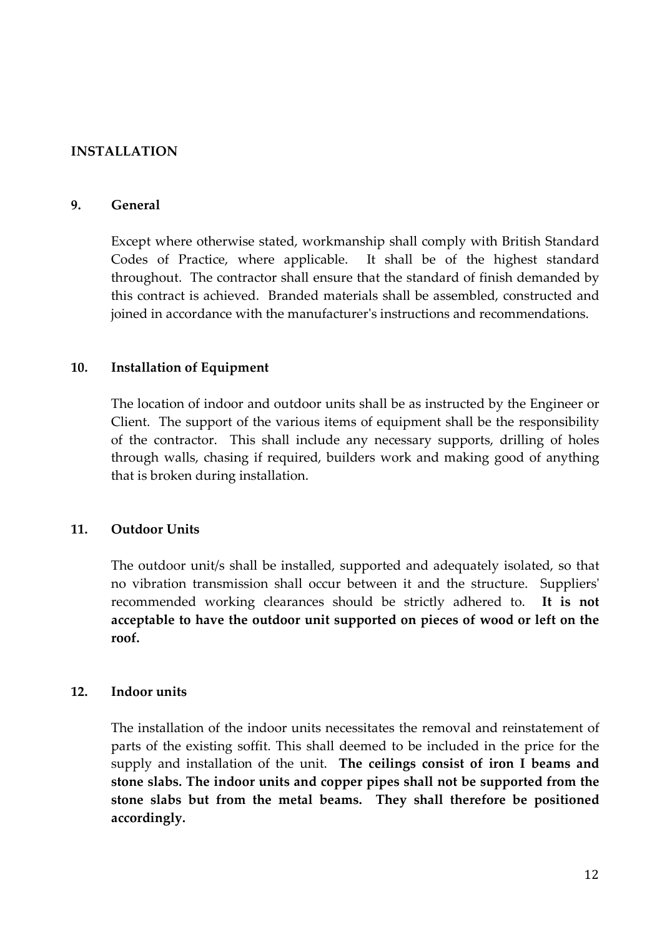## **INSTALLATION**

#### **9. General**

 Except where otherwise stated, workmanship shall comply with British Standard Codes of Practice, where applicable. It shall be of the highest standard throughout. The contractor shall ensure that the standard of finish demanded by this contract is achieved. Branded materials shall be assembled, constructed and joined in accordance with the manufacturer's instructions and recommendations.

#### **10. Installation of Equipment**

 The location of indoor and outdoor units shall be as instructed by the Engineer or Client. The support of the various items of equipment shall be the responsibility of the contractor. This shall include any necessary supports, drilling of holes through walls, chasing if required, builders work and making good of anything that is broken during installation.

#### **11. Outdoor Units**

 The outdoor unit/s shall be installed, supported and adequately isolated, so that no vibration transmission shall occur between it and the structure. Suppliers' recommended working clearances should be strictly adhered to. **It is not acceptable to have the outdoor unit supported on pieces of wood or left on the roof.** 

#### **12. Indoor units**

The installation of the indoor units necessitates the removal and reinstatement of parts of the existing soffit. This shall deemed to be included in the price for the supply and installation of the unit. **The ceilings consist of iron I beams and stone slabs. The indoor units and copper pipes shall not be supported from the stone slabs but from the metal beams. They shall therefore be positioned accordingly.**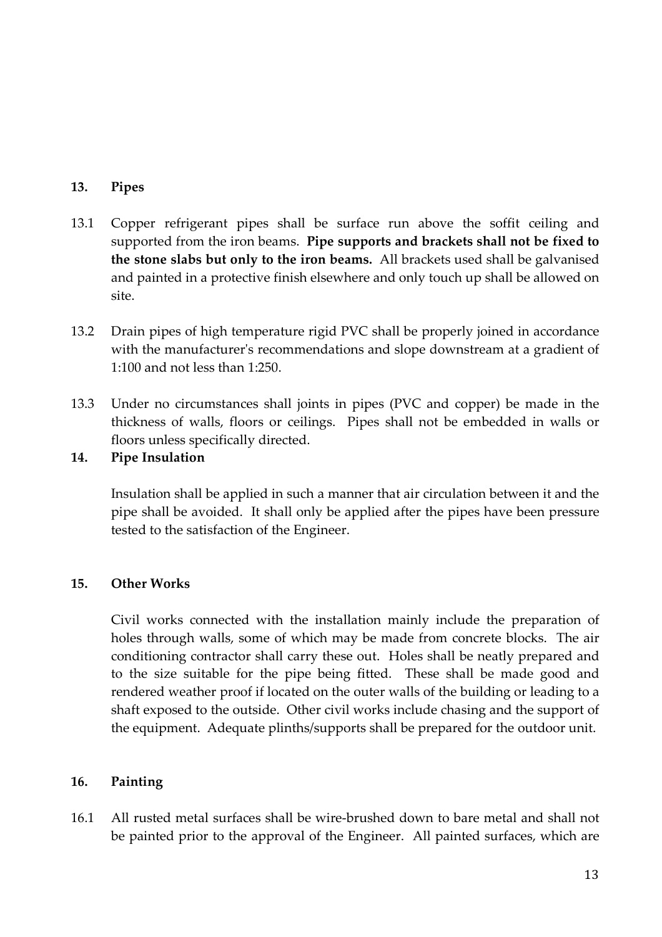## **13. Pipes**

- 13.1 Copper refrigerant pipes shall be surface run above the soffit ceiling and supported from the iron beams. **Pipe supports and brackets shall not be fixed to the stone slabs but only to the iron beams.** All brackets used shall be galvanised and painted in a protective finish elsewhere and only touch up shall be allowed on site.
- 13.2 Drain pipes of high temperature rigid PVC shall be properly joined in accordance with the manufacturer's recommendations and slope downstream at a gradient of 1:100 and not less than 1:250.
- 13.3 Under no circumstances shall joints in pipes (PVC and copper) be made in the thickness of walls, floors or ceilings. Pipes shall not be embedded in walls or floors unless specifically directed.

## **14. Pipe Insulation**

 Insulation shall be applied in such a manner that air circulation between it and the pipe shall be avoided. It shall only be applied after the pipes have been pressure tested to the satisfaction of the Engineer.

# **15. Other Works**

 Civil works connected with the installation mainly include the preparation of holes through walls, some of which may be made from concrete blocks. The air conditioning contractor shall carry these out. Holes shall be neatly prepared and to the size suitable for the pipe being fitted. These shall be made good and rendered weather proof if located on the outer walls of the building or leading to a shaft exposed to the outside. Other civil works include chasing and the support of the equipment. Adequate plinths/supports shall be prepared for the outdoor unit.

## **16. Painting**

16.1 All rusted metal surfaces shall be wire-brushed down to bare metal and shall not be painted prior to the approval of the Engineer. All painted surfaces, which are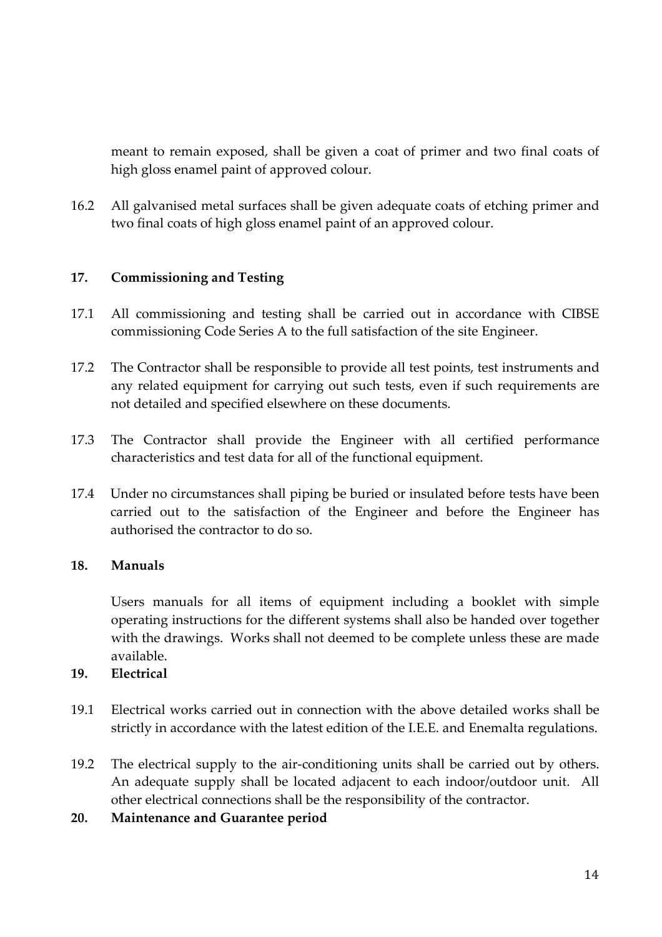meant to remain exposed, shall be given a coat of primer and two final coats of high gloss enamel paint of approved colour.

16.2 All galvanised metal surfaces shall be given adequate coats of etching primer and two final coats of high gloss enamel paint of an approved colour.

## **17. Commissioning and Testing**

- 17.1 All commissioning and testing shall be carried out in accordance with CIBSE commissioning Code Series A to the full satisfaction of the site Engineer.
- 17.2 The Contractor shall be responsible to provide all test points, test instruments and any related equipment for carrying out such tests, even if such requirements are not detailed and specified elsewhere on these documents.
- 17.3 The Contractor shall provide the Engineer with all certified performance characteristics and test data for all of the functional equipment.
- 17.4 Under no circumstances shall piping be buried or insulated before tests have been carried out to the satisfaction of the Engineer and before the Engineer has authorised the contractor to do so.

## **18. Manuals**

 Users manuals for all items of equipment including a booklet with simple operating instructions for the different systems shall also be handed over together with the drawings. Works shall not deemed to be complete unless these are made available.

# **19. Electrical**

- 19.1 Electrical works carried out in connection with the above detailed works shall be strictly in accordance with the latest edition of the I.E.E. and Enemalta regulations.
- 19.2 The electrical supply to the air-conditioning units shall be carried out by others. An adequate supply shall be located adjacent to each indoor/outdoor unit. All other electrical connections shall be the responsibility of the contractor.
- **20. Maintenance and Guarantee period**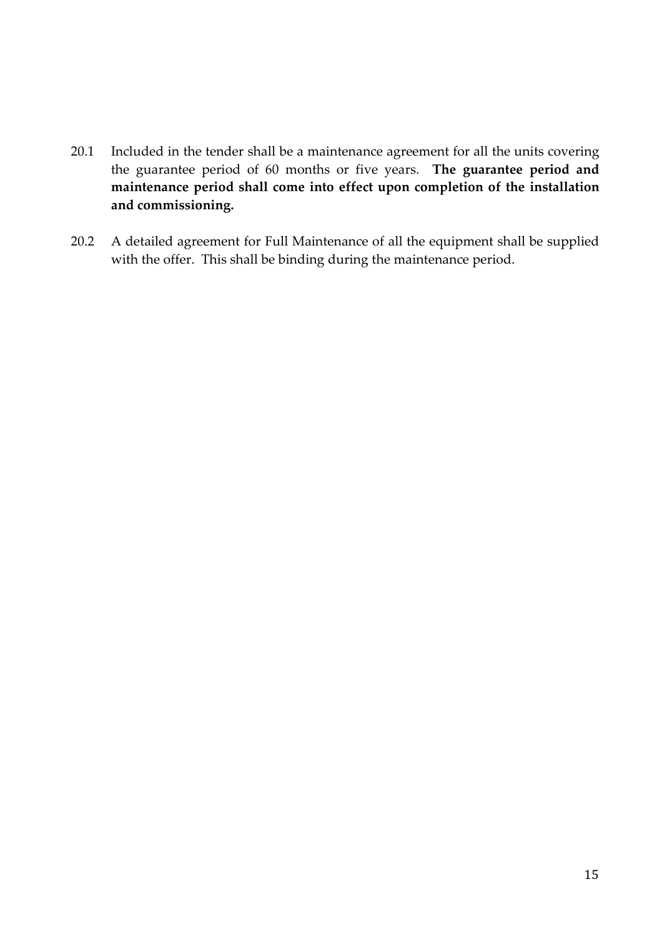- 20.1 Included in the tender shall be a maintenance agreement for all the units covering the guarantee period of 60 months or five years. **The guarantee period and maintenance period shall come into effect upon completion of the installation and commissioning.**
- 20.2 A detailed agreement for Full Maintenance of all the equipment shall be supplied with the offer. This shall be binding during the maintenance period.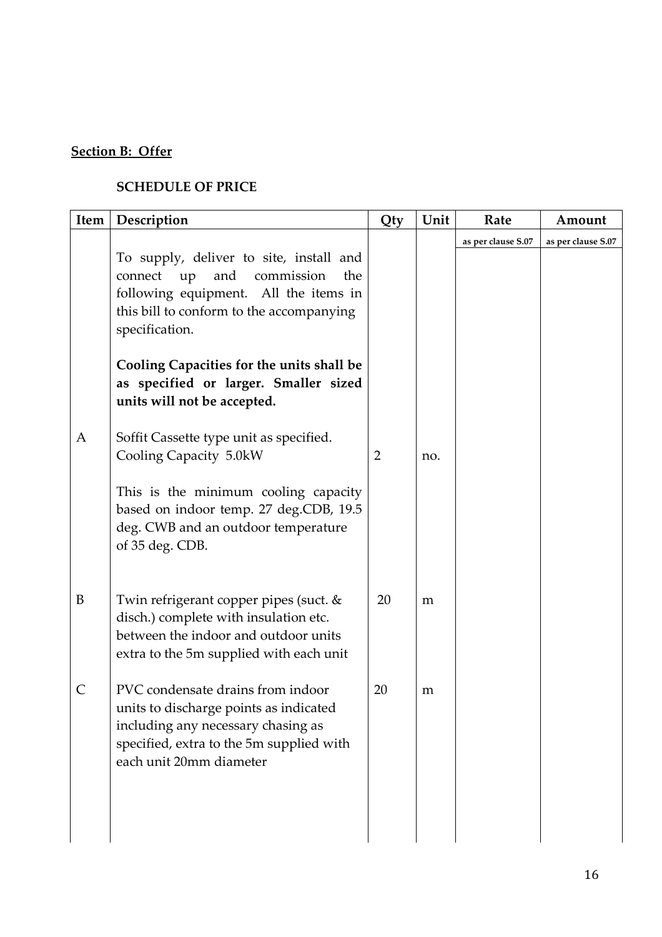# **Section B: Offer**

## **SCHEDULE OF PRICE**

| Item         | Description                                                                                                                                                                                 | Qty            | Unit | Rate               | Amount             |
|--------------|---------------------------------------------------------------------------------------------------------------------------------------------------------------------------------------------|----------------|------|--------------------|--------------------|
|              | To supply, deliver to site, install and<br>connect<br>and<br>commission<br>up<br>the<br>following equipment. All the items in<br>this bill to conform to the accompanying<br>specification. |                |      | as per clause S.07 | as per clause S.07 |
|              | Cooling Capacities for the units shall be<br>as specified or larger. Smaller sized<br>units will not be accepted.                                                                           |                |      |                    |                    |
| A            | Soffit Cassette type unit as specified.<br>Cooling Capacity 5.0kW                                                                                                                           | $\overline{2}$ | no.  |                    |                    |
|              | This is the minimum cooling capacity<br>based on indoor temp. 27 deg.CDB, 19.5<br>deg. CWB and an outdoor temperature<br>of 35 deg. CDB.                                                    |                |      |                    |                    |
| B            | Twin refrigerant copper pipes (suct. &<br>disch.) complete with insulation etc.<br>between the indoor and outdoor units<br>extra to the 5m supplied with each unit                          | 20             | m    |                    |                    |
| $\mathsf{C}$ | PVC condensate drains from indoor<br>units to discharge points as indicated<br>including any necessary chasing as<br>specified, extra to the 5m supplied with<br>each unit 20mm diameter    | 20             | m    |                    |                    |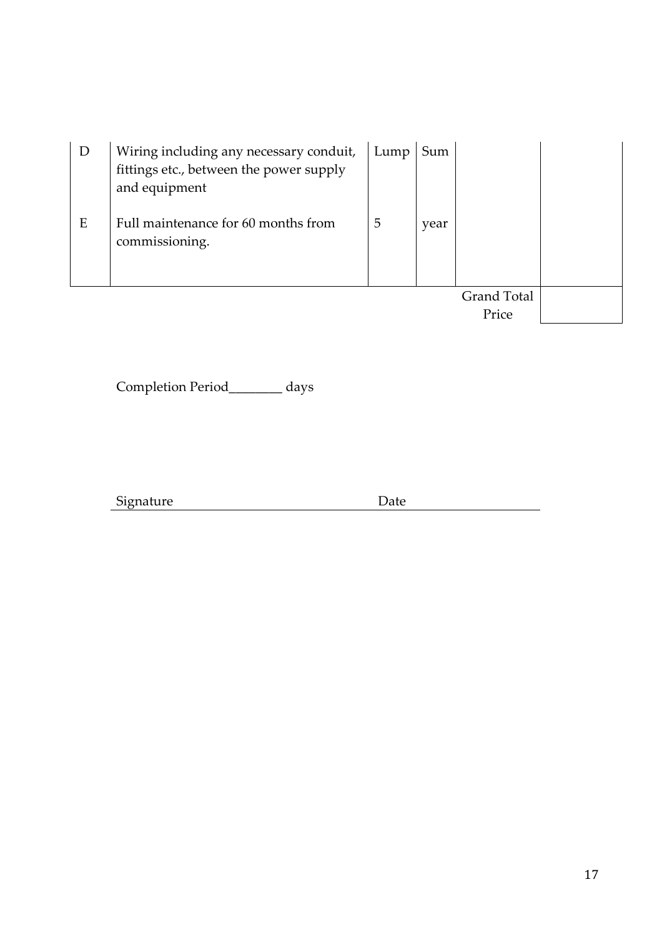| D<br>E | Wiring including any necessary conduit,<br>fittings etc., between the power supply<br>and equipment<br>Full maintenance for 60 months from<br>commissioning. | Lump<br>5 | Sum<br>year |                    |  |
|--------|--------------------------------------------------------------------------------------------------------------------------------------------------------------|-----------|-------------|--------------------|--|
|        |                                                                                                                                                              |           |             |                    |  |
|        |                                                                                                                                                              |           |             | <b>Grand Total</b> |  |
|        |                                                                                                                                                              |           |             | Price              |  |

Completion Period\_\_\_\_\_\_\_\_ days

Signature Date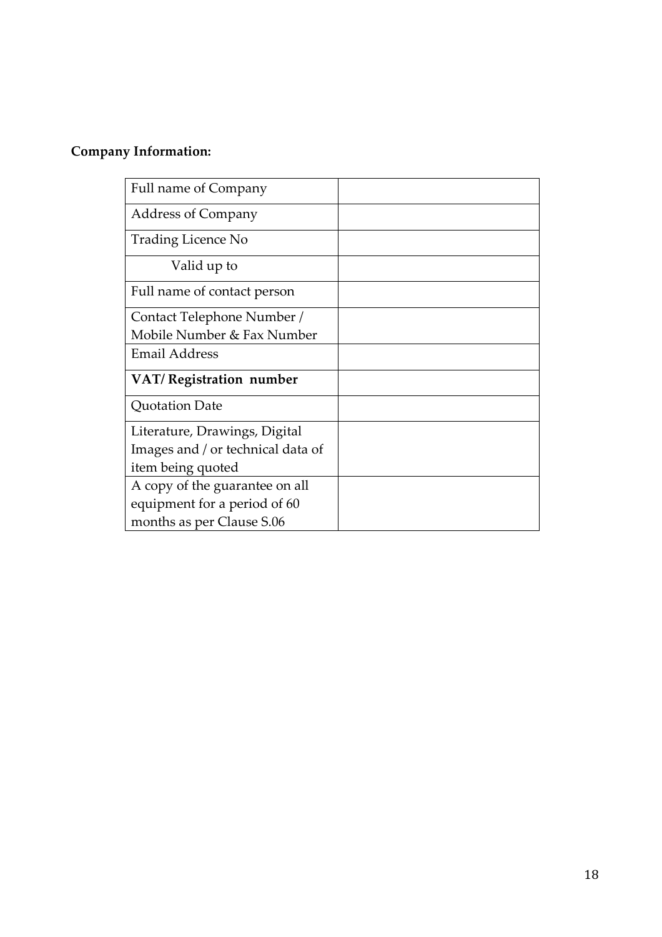# **Company Information:**

| Full name of Company              |  |
|-----------------------------------|--|
| <b>Address of Company</b>         |  |
| Trading Licence No                |  |
| Valid up to                       |  |
| Full name of contact person       |  |
| Contact Telephone Number /        |  |
| Mobile Number & Fax Number        |  |
| <b>Email Address</b>              |  |
| VAT/Registration number           |  |
| Quotation Date                    |  |
| Literature, Drawings, Digital     |  |
| Images and / or technical data of |  |
| item being quoted                 |  |
| A copy of the guarantee on all    |  |
| equipment for a period of 60      |  |
| months as per Clause S.06         |  |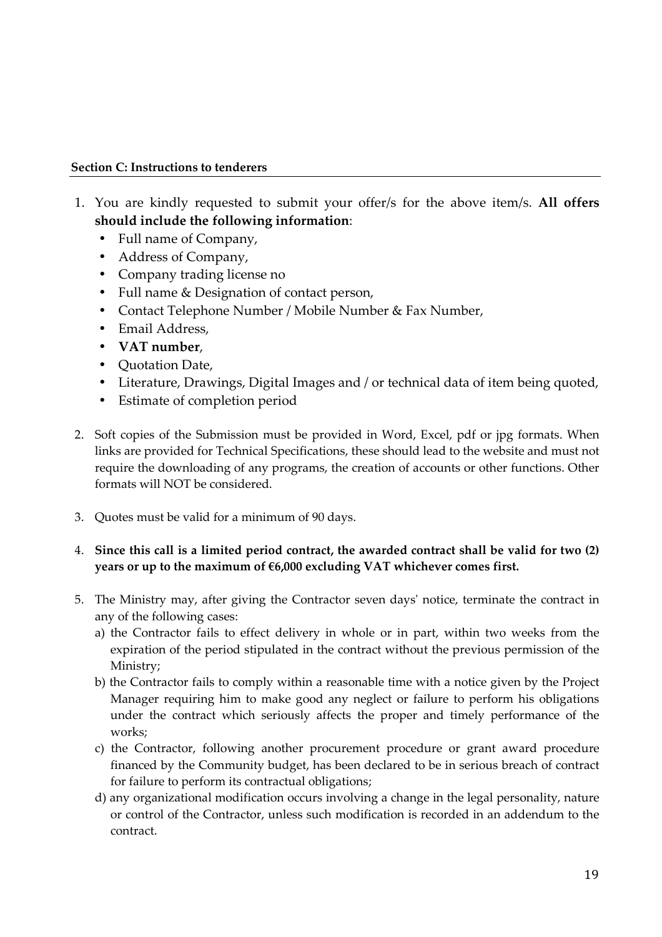#### **Section C: Instructions to tenderers**

- 1. You are kindly requested to submit your offer/s for the above item/s. **All offers should include the following information**:
	- Full name of Company,
	- Address of Company,
	- Company trading license no
	- Full name & Designation of contact person,
	- Contact Telephone Number / Mobile Number & Fax Number,
	- Email Address,
	- **VAT number**,
	- Quotation Date,
	- Literature, Drawings, Digital Images and / or technical data of item being quoted,
	- Estimate of completion period
- 2. Soft copies of the Submission must be provided in Word, Excel, pdf or jpg formats. When links are provided for Technical Specifications, these should lead to the website and must not require the downloading of any programs, the creation of accounts or other functions. Other formats will NOT be considered.
- 3. Quotes must be valid for a minimum of 90 days.

#### 4. **Since this call is a limited period contract, the awarded contract shall be valid for two (2) years or up to the maximum of €6,000 excluding VAT whichever comes first.**

- 5. The Ministry may, after giving the Contractor seven days' notice, terminate the contract in any of the following cases:
	- a) the Contractor fails to effect delivery in whole or in part, within two weeks from the expiration of the period stipulated in the contract without the previous permission of the Ministry;
	- b) the Contractor fails to comply within a reasonable time with a notice given by the Project Manager requiring him to make good any neglect or failure to perform his obligations under the contract which seriously affects the proper and timely performance of the works;
	- c) the Contractor, following another procurement procedure or grant award procedure financed by the Community budget, has been declared to be in serious breach of contract for failure to perform its contractual obligations;
	- d) any organizational modification occurs involving a change in the legal personality, nature or control of the Contractor, unless such modification is recorded in an addendum to the contract.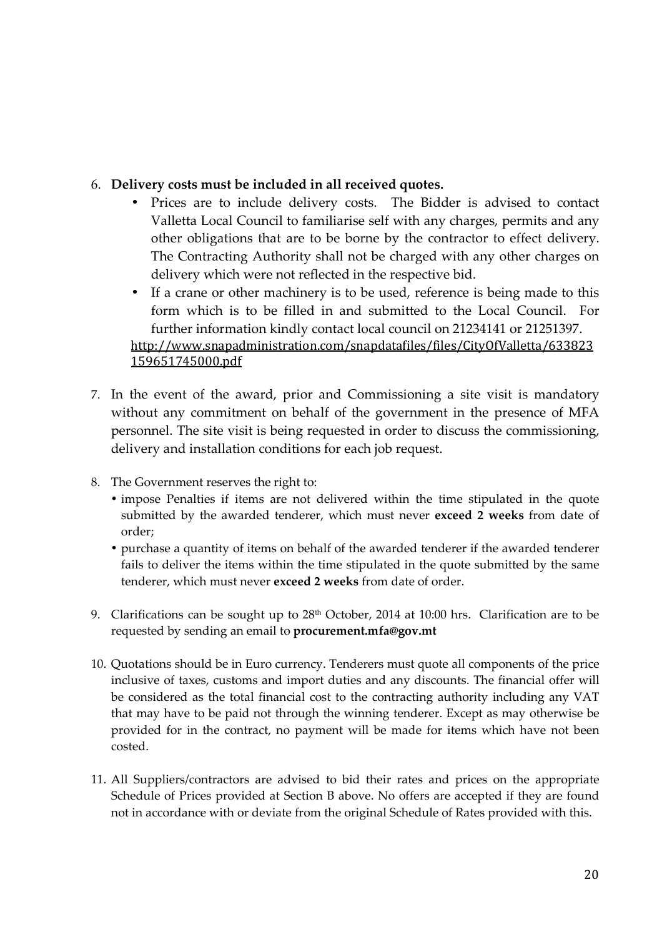## 6. **Delivery costs must be included in all received quotes.**

- Prices are to include delivery costs. The Bidder is advised to contact Valletta Local Council to familiarise self with any charges, permits and any other obligations that are to be borne by the contractor to effect delivery. The Contracting Authority shall not be charged with any other charges on delivery which were not reflected in the respective bid.
- If a crane or other machinery is to be used, reference is being made to this form which is to be filled in and submitted to the Local Council. For further information kindly contact local council on 21234141 or 21251397. http://www.snapadministration.com/snapdatafiles/files/CityOfValletta/633823 159651745000.pdf
- 7. In the event of the award, prior and Commissioning a site visit is mandatory without any commitment on behalf of the government in the presence of MFA personnel. The site visit is being requested in order to discuss the commissioning, delivery and installation conditions for each job request.
- 8. The Government reserves the right to:
	- impose Penalties if items are not delivered within the time stipulated in the quote submitted by the awarded tenderer, which must never **exceed 2 weeks** from date of order;
	- purchase a quantity of items on behalf of the awarded tenderer if the awarded tenderer fails to deliver the items within the time stipulated in the quote submitted by the same tenderer, which must never **exceed 2 weeks** from date of order.
- 9. Clarifications can be sought up to  $28<sup>th</sup>$  October, 2014 at 10:00 hrs. Clarification are to be requested by sending an email to **procurement.mfa@gov.mt**
- 10. Quotations should be in Euro currency. Tenderers must quote all components of the price inclusive of taxes, customs and import duties and any discounts. The financial offer will be considered as the total financial cost to the contracting authority including any VAT that may have to be paid not through the winning tenderer. Except as may otherwise be provided for in the contract, no payment will be made for items which have not been costed.
- 11. All Suppliers/contractors are advised to bid their rates and prices on the appropriate Schedule of Prices provided at Section B above. No offers are accepted if they are found not in accordance with or deviate from the original Schedule of Rates provided with this.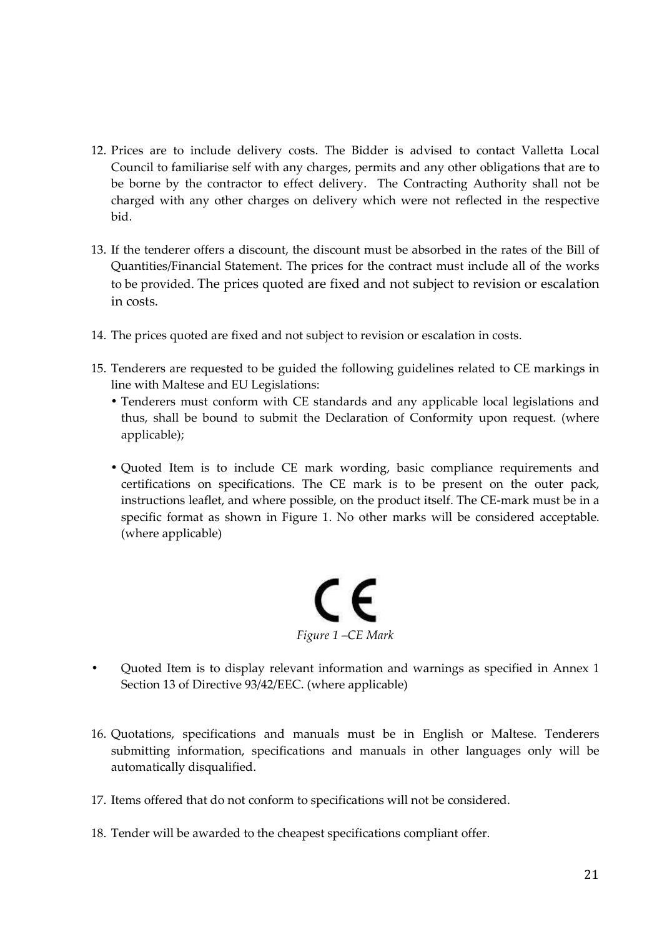- 12. Prices are to include delivery costs. The Bidder is advised to contact Valletta Local Council to familiarise self with any charges, permits and any other obligations that are to be borne by the contractor to effect delivery. The Contracting Authority shall not be charged with any other charges on delivery which were not reflected in the respective bid.
- 13. If the tenderer offers a discount, the discount must be absorbed in the rates of the Bill of Quantities/Financial Statement. The prices for the contract must include all of the works to be provided. The prices quoted are fixed and not subject to revision or escalation in costs.
- 14. The prices quoted are fixed and not subject to revision or escalation in costs.
- 15. Tenderers are requested to be guided the following guidelines related to CE markings in line with Maltese and EU Legislations:
	- Tenderers must conform with CE standards and any applicable local legislations and thus, shall be bound to submit the Declaration of Conformity upon request. (where applicable);
	- Quoted Item is to include CE mark wording, basic compliance requirements and certifications on specifications. The CE mark is to be present on the outer pack, instructions leaflet, and where possible, on the product itself. The CE-mark must be in a specific format as shown in Figure 1. No other marks will be considered acceptable. (where applicable)



- Quoted Item is to display relevant information and warnings as specified in Annex 1 Section 13 of Directive 93/42/EEC. (where applicable)
- 16. Quotations, specifications and manuals must be in English or Maltese. Tenderers submitting information, specifications and manuals in other languages only will be automatically disqualified.
- 17. Items offered that do not conform to specifications will not be considered.
- 18. Tender will be awarded to the cheapest specifications compliant offer.